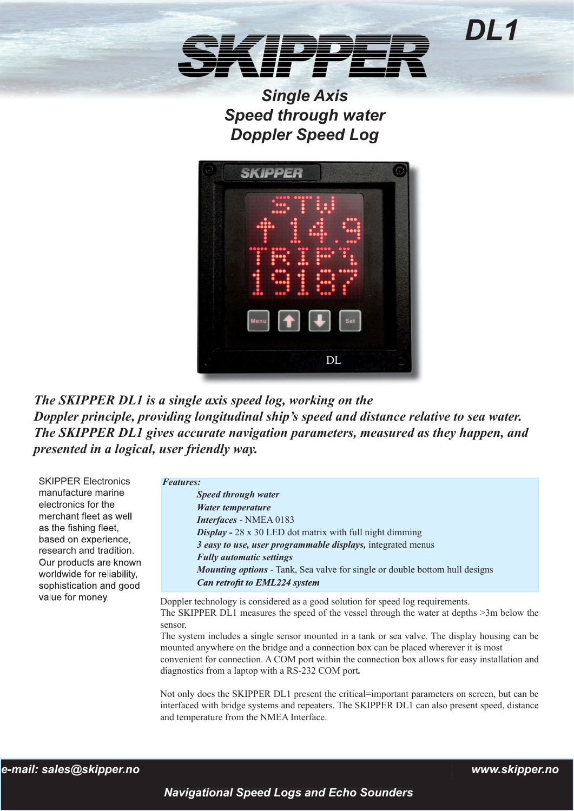*Single Axis Speed through water Doppler Speed Log*



*The SKIPPER DL1 is a single axis speed log, working on the Doppler principle, providing longitudinal ship's speed and distance relative to sea water. The SKIPPER DL1 gives accurate navigation parameters, measured as they happen, and presented in a logical, user friendly way.* 

SKIPPER Electronics manufacture marine electronics for the merchant fleet as well as the fishing fleet. based on experience, research and tradition. Our products are known worldwide for reliability, sophistication and good value for money.

| <b>Features:</b>                                                |                                                                                    |  |
|-----------------------------------------------------------------|------------------------------------------------------------------------------------|--|
|                                                                 | Speed through water                                                                |  |
|                                                                 | Water temperature                                                                  |  |
|                                                                 | Interfaces - NMEA 0183                                                             |  |
| <b>Display -</b> 28 x 30 LED dot matrix with full night dimming |                                                                                    |  |
|                                                                 | 3 easy to use, user programmable displays, integrated menus                        |  |
|                                                                 | <b>Fully automatic settings</b>                                                    |  |
|                                                                 | <b>Mounting options</b> - Tank, Sea valve for single or double bottom hull designs |  |
|                                                                 | Can retrofit to EML224 system                                                      |  |
|                                                                 |                                                                                    |  |

Doppler technology is considered as a good solution for speed log requirements. The SKIPPER DL1 measures the speed of the vessel through the water at depths >3m below the sensor.

The system includes a single sensor mounted in a tank or sea valve. The display housing can be mounted anywhere on the bridge and a connection box can be placed wherever it is most

convenient for connection. A COM port within the connection box allows for easy installation and diagnostics from a laptop with a RS-232 COM port*.* 

Not only does the SKIPPER DL1 present the critical=important parameters on screen, but can be interfaced with bridge systems and repeaters. The SKIPPER DL1 can also present speed, distance and temperature from the NMEA Interface.

*DL1*

 *Navigational Speed Logs and Echo Sounders*